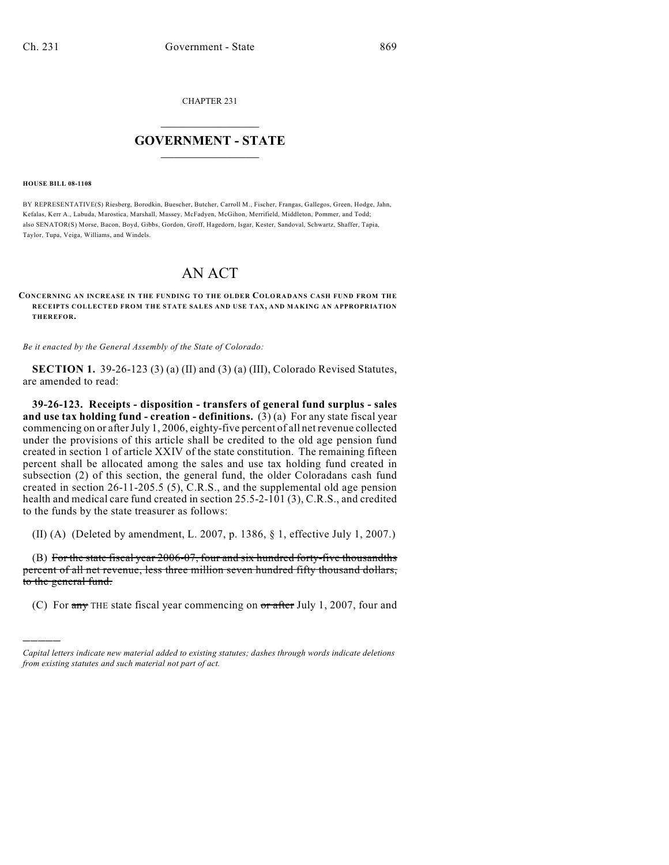CHAPTER 231

## $\overline{\phantom{a}}$  . The set of the set of the set of the set of the set of the set of the set of the set of the set of the set of the set of the set of the set of the set of the set of the set of the set of the set of the set o **GOVERNMENT - STATE**  $\_$

## **HOUSE BILL 08-1108**

)))))

BY REPRESENTATIVE(S) Riesberg, Borodkin, Buescher, Butcher, Carroll M., Fischer, Frangas, Gallegos, Green, Hodge, Jahn, Kefalas, Kerr A., Labuda, Marostica, Marshall, Massey, McFadyen, McGihon, Merrifield, Middleton, Pommer, and Todd; also SENATOR(S) Morse, Bacon, Boyd, Gibbs, Gordon, Groff, Hagedorn, Isgar, Kester, Sandoval, Schwartz, Shaffer, Tapia, Taylor, Tupa, Veiga, Williams, and Windels.

## AN ACT

## **CONCERNING AN INCREASE IN THE FUNDING TO THE OLDER COLORADANS CASH FUND FROM THE RECEIPTS COLLECTED FROM THE STATE SALES AND USE TAX, AND MAKING AN APPROPRIATION THEREFOR.**

*Be it enacted by the General Assembly of the State of Colorado:*

**SECTION 1.** 39-26-123 (3) (a) (II) and (3) (a) (III), Colorado Revised Statutes, are amended to read:

**39-26-123. Receipts - disposition - transfers of general fund surplus - sales and use tax holding fund - creation - definitions.** (3)(a) For any state fiscal year commencing on or after July 1, 2006, eighty-five percent of all net revenue collected under the provisions of this article shall be credited to the old age pension fund created in section 1 of article XXIV of the state constitution. The remaining fifteen percent shall be allocated among the sales and use tax holding fund created in subsection (2) of this section, the general fund, the older Coloradans cash fund created in section 26-11-205.5 (5), C.R.S., and the supplemental old age pension health and medical care fund created in section 25.5-2-101 (3), C.R.S., and credited to the funds by the state treasurer as follows:

(II) (A) (Deleted by amendment, L. 2007, p. 1386, § 1, effective July 1, 2007.)

(B) For the state fiscal year 2006-07, four and six hundred forty-five thousandths percent of all net revenue, less three million seven hundred fifty thousand dollars, to the general fund.

(C) For  $\frac{1}{2}$  THE state fiscal year commencing on  $\frac{1}{2}$  after July 1, 2007, four and

*Capital letters indicate new material added to existing statutes; dashes through words indicate deletions from existing statutes and such material not part of act.*